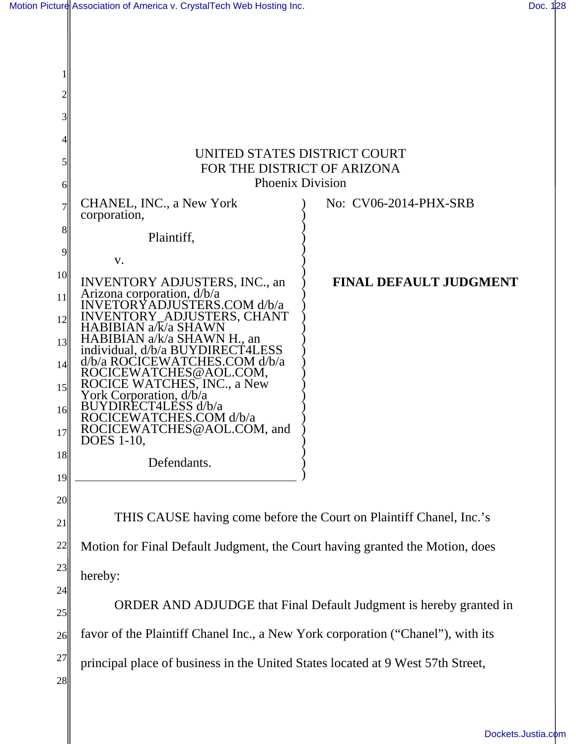| Motion Picture Association of America v. CrystalTech Web Hosting Inc. | Doc. 128 |
|-----------------------------------------------------------------------|----------|
|                                                                       |          |

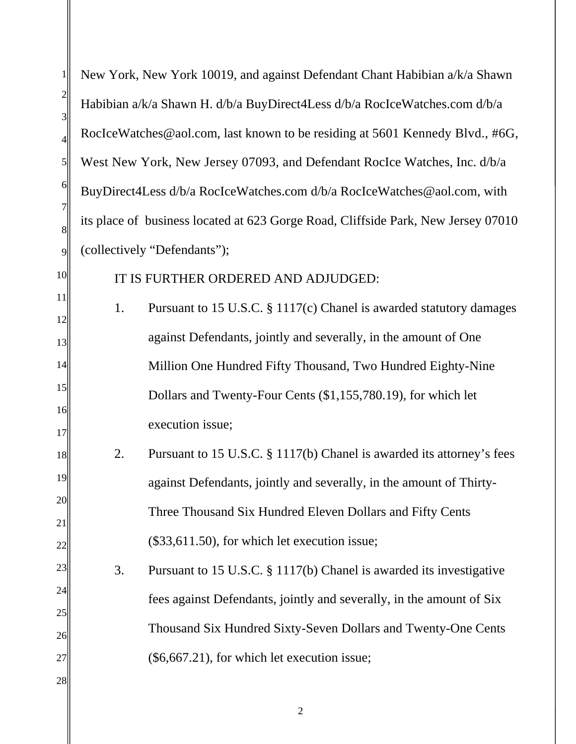| 1                   | New York, New York 10019, and against Defendant Chant Habibian a/k/a Shawn        |  |  |
|---------------------|-----------------------------------------------------------------------------------|--|--|
| $\overline{c}$<br>3 | Habibian a/k/a Shawn H. d/b/a BuyDirect4Less d/b/a RocIceWatches.com d/b/a        |  |  |
| 4                   | RocIceWatches@aol.com, last known to be residing at 5601 Kennedy Blvd., #6G,      |  |  |
| 5                   | West New York, New Jersey 07093, and Defendant RocIce Watches, Inc. d/b/a         |  |  |
| 6                   | BuyDirect4Less d/b/a RocIceWatches.com d/b/a RocIceWatches@aol.com, with          |  |  |
| 7<br>8              | its place of business located at 623 Gorge Road, Cliffside Park, New Jersey 07010 |  |  |
| 9                   | (collectively "Defendants");                                                      |  |  |
| 10                  | IT IS FURTHER ORDERED AND ADJUDGED:                                               |  |  |
| 11<br>12            | Pursuant to 15 U.S.C. § 1117(c) Chanel is awarded statutory damages<br>1.         |  |  |
| 13                  | against Defendants, jointly and severally, in the amount of One                   |  |  |
| 14                  | Million One Hundred Fifty Thousand, Two Hundred Eighty-Nine                       |  |  |
| 15                  | Dollars and Twenty-Four Cents (\$1,155,780.19), for which let                     |  |  |
| 16<br>17            | execution issue;                                                                  |  |  |
| 18                  | Pursuant to 15 U.S.C. § 1117(b) Chanel is awarded its attorney's fees<br>2.       |  |  |
| 19                  | against Defendants, jointly and severally, in the amount of Thirty-               |  |  |
| 20<br>21            | Three Thousand Six Hundred Eleven Dollars and Fifty Cents                         |  |  |
| 22                  | (\$33,611.50), for which let execution issue;                                     |  |  |
| 23                  | Pursuant to 15 U.S.C. § 1117(b) Chanel is awarded its investigative<br>3.         |  |  |
| 24<br>25            | fees against Defendants, jointly and severally, in the amount of Six              |  |  |
| 26                  | Thousand Six Hundred Sixty-Seven Dollars and Twenty-One Cents                     |  |  |
| 27                  | $(\$6,667.21)$ , for which let execution issue;                                   |  |  |
| 28                  |                                                                                   |  |  |

2